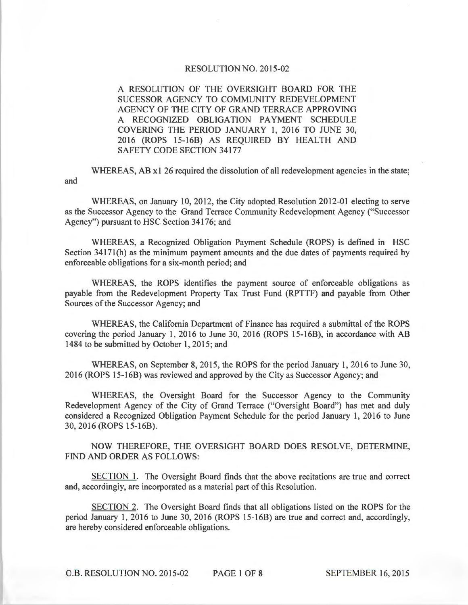## RESOLUTION NO. 2015-02

A RESOLUTION OF THE OVERSIGHT BOARD FOR THE SUCESSOR AGENCY TO COMMUNITY REDEVELOPMENT AGENCY OF THE CITY OF GRAND TERRACE APPROVING A RECOGNIZED OBLIGATION PAYMENT SCHEDULE COVERING THE PERIOD JANUARY 1, 2016 TO JUNE 30, 2016 (ROPS 15-16B) AS REQUIRED BY HEALTH AND SAFETY CODE SECTION 34177

and WHEREAS, AB x1 26 required the dissolution of all redevelopment agencies in the state;

WHEREAS, on January 10, 2012, the City adopted Resolution 2012-01 electing to serve as the Successor Agency to the Grand Terrace Community Redevelopment Agency ("Successor Agency") pursuant to HSC Section 34176; and

WHEREAS, a Recognized Obligation Payment Schedule (ROPS) is defined in HSC Section 34171(h) as the minimum payment amounts and the due dates of payments required by enforceable obligations for a six-month period; and

WHEREAS, the ROPS identifies the payment source of enforceable obligations as payable from the Redevelopment Property Tax Trust Fund (RPTTF) and payable from Other Sources of the Successor Agency; and

WHEREAS, the California Department of Finance has required a submittal of the ROPS covering the period January 1, 2016 to June 30, 2016 (ROPS 15-16B), in accordance with AB 1484 to be submitted by October 1, 2015; and

WHEREAS, on September 8, 2015, the ROPS for the period January 1, 2016 to June 30, 2016 (ROPS l5-16B) was reviewed and approved by the City as Successor Agency; and

WHEREAS, the Oversight Board for the Successor Agency to the Community Redevelopment Agency of the City of Grand Terrace ("Oversight Board") has met and duly considered a Recognized Obligation Payment Schedule for the period January 1, 2016 to June 30, 2016 (ROPS 15-16B).

NOW THEREFORE, THE OVERSIGHT BOARD DOES RESOLVE, DETERMINE, FIND AND ORDER AS FOLLOWS:

SECTION 1. The Oversight Board finds that the above recitations are true and correct and, accordingly, are incorporated as a material part of this Resolution.

SECTION 2. The Oversight Board finds that all obligations listed on the ROPS for the period January 1, 2016 to June 30, 2016 (ROPS 15-16B) are true and correct and, accordingly, are hereby considered enforceable obligations.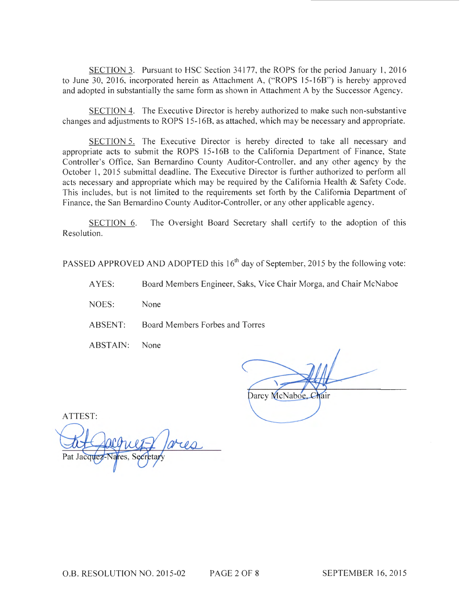SECTION 3. Pursuant to HSC Section 34177, the ROPS for the period January 1, 2016 to June 30, 2016, incorporated herein as Attachment A, ("ROPS 15-16B") is hereby approved and adopted in substantially the same form as shown in Attachment A by the Successor Agency.

SECTION 4. The Executive Director is hereby authorized to make such non-substantive changes and adjustments to ROPS 15-16B, as attached, which may be necessary and appropriate.

SECTION 5. The Executive Director is hereby directed to take all necessary and appropriate acts to submit the ROPS 15-16B to the California Department of Finance, State Controller's Office, San Bernardino County Auditor-Controller, and any other agency by the October 1, 2015 submittal deadline. The Executive Director is further authorized to perform all acts necessary and appropriate which may be required by the California Health & Safety Code. This includes, but is not limited to the requirements set forth by the California Department of Finance, the San Bernardino County Auditor-Controller, or any other applicable agency.

SECTION 6. The Oversight Board Secretary shall certify to the adoption of this Resolution.

PASSED APPROVED AND ADOPTED this  $16<sup>th</sup>$  day of September, 2015 by the following vote:

A YES: Board Members Engineer, Saks, Vice Chair Morga, and Chair McNaboe

NOES: None

ABSENT: Board Members Forbes and Torres

ABSTAIN: None

Darcy McNaboe.

ATTEST: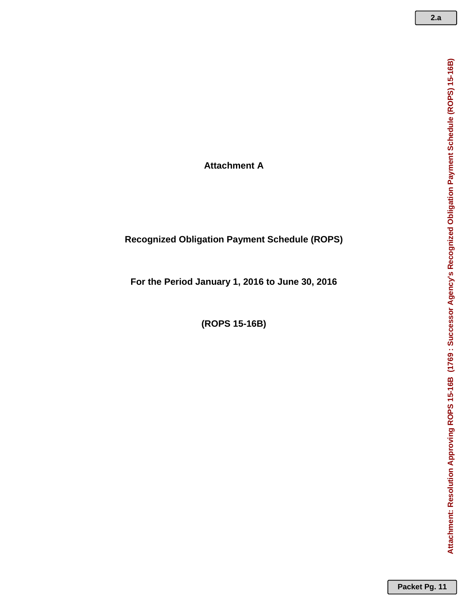**Attachment A**

## **Recognized Obligation Payment Schedule (ROPS)**

**For the Period January 1, 2016 to June 30, 2016**

**(ROPS 15-16B)**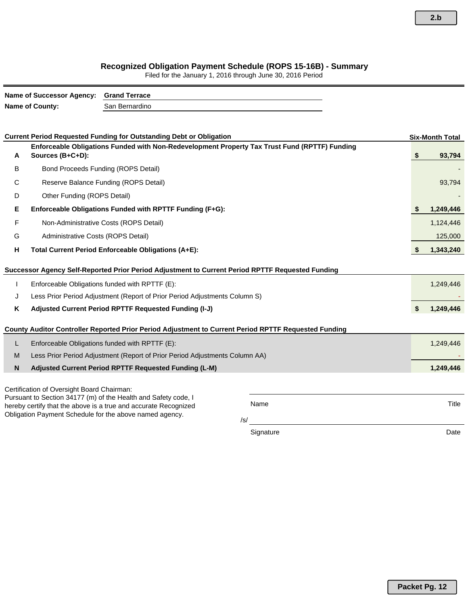## **Recognized Obligation Payment Schedule (ROPS 15-16B) - Summary**

Filed for the January 1, 2016 through June 30, 2016 Period

|    | <b>Name of Successor Agency:</b>           | <b>Grand Terrace</b>                                                                                                              |                                                                                                      |                        |
|----|--------------------------------------------|-----------------------------------------------------------------------------------------------------------------------------------|------------------------------------------------------------------------------------------------------|------------------------|
|    | <b>Name of County:</b>                     | San Bernardino                                                                                                                    |                                                                                                      |                        |
|    |                                            |                                                                                                                                   |                                                                                                      |                        |
|    |                                            | <b>Current Period Requested Funding for Outstanding Debt or Obligation</b>                                                        |                                                                                                      | <b>Six-Month Total</b> |
|    |                                            |                                                                                                                                   | Enforceable Obligations Funded with Non-Redevelopment Property Tax Trust Fund (RPTTF) Funding        |                        |
| A  | Sources (B+C+D):                           |                                                                                                                                   |                                                                                                      | \$<br>93,794           |
| В  |                                            | Bond Proceeds Funding (ROPS Detail)                                                                                               |                                                                                                      |                        |
| C  |                                            | Reserve Balance Funding (ROPS Detail)                                                                                             |                                                                                                      | 93,794                 |
| D  | Other Funding (ROPS Detail)                |                                                                                                                                   |                                                                                                      |                        |
| Е  |                                            | Enforceable Obligations Funded with RPTTF Funding (F+G):                                                                          |                                                                                                      | 1,249,446              |
| F  |                                            | Non-Administrative Costs (ROPS Detail)                                                                                            |                                                                                                      | 1,124,446              |
| G  | Administrative Costs (ROPS Detail)         |                                                                                                                                   |                                                                                                      | 125,000                |
| н  |                                            | Total Current Period Enforceable Obligations (A+E):                                                                               |                                                                                                      | \$<br>1,343,240        |
|    |                                            |                                                                                                                                   |                                                                                                      |                        |
|    |                                            | Successor Agency Self-Reported Prior Period Adjustment to Current Period RPTTF Requested Funding                                  |                                                                                                      |                        |
|    |                                            | Enforceable Obligations funded with RPTTF (E):                                                                                    |                                                                                                      | 1,249,446              |
| J  |                                            | Less Prior Period Adjustment (Report of Prior Period Adjustments Column S)                                                        |                                                                                                      |                        |
| Κ  |                                            | Adjusted Current Period RPTTF Requested Funding (I-J)                                                                             |                                                                                                      | \$<br>1,249,446        |
|    |                                            |                                                                                                                                   | County Auditor Controller Reported Prior Period Adjustment to Current Period RPTTF Requested Funding |                        |
| L. |                                            | Enforceable Obligations funded with RPTTF (E):                                                                                    |                                                                                                      | 1,249,446              |
| M  |                                            | Less Prior Period Adjustment (Report of Prior Period Adjustments Column AA)                                                       |                                                                                                      |                        |
| N  |                                            | Adjusted Current Period RPTTF Requested Funding (L-M)                                                                             |                                                                                                      | 1,249,446              |
|    |                                            |                                                                                                                                   |                                                                                                      |                        |
|    | Certification of Oversight Board Chairman: |                                                                                                                                   |                                                                                                      |                        |
|    |                                            | Pursuant to Section 34177 (m) of the Health and Safety code, I<br>hereby certify that the above is a true and accurate Recognized | Name                                                                                                 | Title                  |
|    |                                            | Obligation Payment Schedule for the above named agency.                                                                           |                                                                                                      |                        |
|    |                                            |                                                                                                                                   | /s/                                                                                                  |                        |
|    |                                            |                                                                                                                                   | Signature                                                                                            | Date                   |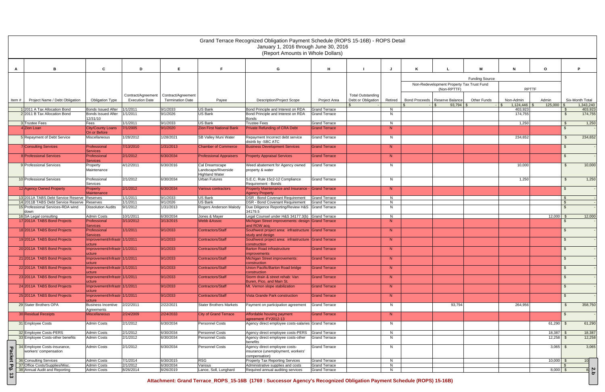|               |                                           |                                                            |                       |                         |                                              | Grand Terrace Recognized Obligation Payment Schedule (ROPS 15-16B) - ROPS Detail<br>January 1, 2016 through June 30, 2016<br>(Report Amounts in Whole Dollars) |                      |                          |         |                                                          |                       |                 |              |                |                      |
|---------------|-------------------------------------------|------------------------------------------------------------|-----------------------|-------------------------|----------------------------------------------|----------------------------------------------------------------------------------------------------------------------------------------------------------------|----------------------|--------------------------|---------|----------------------------------------------------------|-----------------------|-----------------|--------------|----------------|----------------------|
|               |                                           |                                                            |                       |                         |                                              |                                                                                                                                                                |                      |                          |         |                                                          |                       |                 |              |                |                      |
|               | в                                         | C                                                          | D                     |                         | F                                            | G                                                                                                                                                              | н                    |                          |         |                                                          | м                     | N               | $\mathbf{o}$ |                |                      |
|               |                                           |                                                            |                       |                         |                                              |                                                                                                                                                                |                      |                          |         |                                                          | <b>Funding Source</b> |                 |              |                |                      |
|               |                                           |                                                            |                       |                         |                                              |                                                                                                                                                                |                      |                          |         | Non-Redevelopment Property Tax Trust Fund<br>(Non-RPTTF) |                       | <b>RPTTF</b>    |              |                |                      |
|               |                                           |                                                            | Contract/Agreement    | Contract/Agreement      |                                              |                                                                                                                                                                |                      | <b>Total Outstanding</b> |         |                                                          |                       |                 |              |                |                      |
| Item #        | Project Name / Debt Obligation            | Obligation Type                                            | <b>Execution Date</b> | <b>Termination Date</b> | Payee                                        | <b>Description/Project Scope</b>                                                                                                                               | <b>Project Area</b>  | Debt or Obligation       | Retired | Bond Proceeds   Reserve Balance                          | <b>Other Funds</b>    | Non-Admin       | Admin        |                | Six-Month Total      |
|               | 1 2011 A Tax Allocation Bond              | <b>Bonds Issued After</b>                                  | 1/1/2011              | 9/1/2033                | <b>US Bank</b>                               | Bond Principle and Interest on RDA                                                                                                                             | <b>Grand Terrace</b> |                          | N       | $93,794$ \$                                              |                       | l Si<br>403,923 | 125,000      |                | 1,343,240<br>403,923 |
|               | 2 2011 B Tax Allocation Bond              | <b>Bonds Issued After</b>                                  | 1/1/2011              | 9/1/2026                | US Bank                                      | Bond Principle and Interest on RDA                                                                                                                             | <b>Grand Terrace</b> |                          | N       |                                                          |                       | 174,755         |              | $\mathfrak{S}$ | 174,755              |
|               | 3 Trustee Fees                            | 12/31/10<br>Fees                                           | 1/1/2011              | 9/1/2033                | US Bank                                      | <b>Bonds</b><br><b>Trustee Fees</b>                                                                                                                            | <b>Grand Terrace</b> |                          | N       |                                                          |                       | 1,250           |              | -\$            | 1,250                |
|               | 4 Zion Loan                               | <b>City/County Loans</b>                                   | 7/1/2005              | 9/1/2020                | <b>Zion First National Bank</b>              | <b>Private Refunding of CRA Debt</b>                                                                                                                           | <b>Grand Terrace</b> |                          | N       |                                                          |                       |                 |              |                |                      |
|               | 5 Repayment of Debt Service               | On or Before<br>Miscellaneous                              | 1/28/2012             | 1/28/2021               | <b>SB Valley Muni Water</b>                  | Repayment Incorrect debt service                                                                                                                               | <b>Grand Terrace</b> |                          | N.      |                                                          |                       | 234,652         |              | -\$            | 234,652              |
|               |                                           |                                                            |                       |                         |                                              | distrib by -SBC ATC                                                                                                                                            |                      |                          |         |                                                          |                       |                 |              |                |                      |
|               | 7 Consulting Services                     | Professional<br><b>Services</b>                            | 7/13/2010             | 1/31/2013               | <b>Chamber of Commerce</b>                   | <b>Business Development Services</b>                                                                                                                           | <b>Grand Terrace</b> |                          | N       |                                                          |                       |                 |              | \$             |                      |
|               | 8 Professional Services                   | Professional                                               | 2/1/2012              | 6/30/2034               | <b>Professional Appraisers</b>               | <b>Property Appraisal Services</b>                                                                                                                             | <b>Grand Terrace</b> |                          | N       |                                                          |                       |                 |              | \$.            |                      |
|               | 9 Professional Services                   | <b>Services</b><br>Property                                | 4/12/2011             | 6/30/2016               | Cal Dreamscape                               | Weed abatement for Agency owned                                                                                                                                | <b>Grand Terrace</b> |                          | N       |                                                          |                       | 10,000          |              | - \$           | 10,000               |
|               |                                           | Maintenance                                                |                       |                         | Landscape/Riverside<br><b>Highland Water</b> | property & water                                                                                                                                               |                      |                          |         |                                                          |                       |                 |              |                |                      |
|               | 10 Professional Services                  | Professional                                               | 2/1/2012              | 6/30/2034               | Urban Futures                                | S.E.C. Rule 15c2-12 Compliance<br>Requirement - Bonds                                                                                                          | <b>Grand Terrace</b> |                          | N       |                                                          |                       | 1,250           |              | \$             | 1,250                |
|               | 12 Agency Owned Property                  | Services<br><b>Property</b>                                | 2/1/2012              | 6/30/2034               | <b>Various contractors</b>                   | Property Maintenance and Insurance - Grand Terrace                                                                                                             |                      |                          | N       |                                                          |                       |                 |              | \$             |                      |
|               | 13 2011A TABS Debt Service Reserve        | <b>Maintenance</b><br>Reserves                             | 1/1/2011              | 9/1/2033                | <b>US Bank</b>                               | <b>Agency Property</b><br><b>DSR - Bond Covenant Requirement</b>                                                                                               | <b>Grand Terrace</b> |                          | N       |                                                          |                       |                 |              |                |                      |
|               | 14 2011B TABS Debt Service Reserve        | Reserves                                                   | 1/1/2011              | 9/1/2026                | <b>US Bank</b>                               | <b>DSR - Bond Covenant Requirement</b>                                                                                                                         | <b>Grand Terrace</b> |                          | N       |                                                          |                       |                 |              | $\mathfrak{L}$ |                      |
|               | 15 Professional Services-RDA wind<br>down | <b>Dissolution Audits</b>                                  | 9/1/2012              | 1/31/2013               | Rogers Anderson Malody                       | Due Diligence Reporting/Review H&S Grand Terrace<br>34179.5                                                                                                    |                      |                          | N       |                                                          |                       |                 |              |                |                      |
|               | 16 SA Legal consulting                    | <b>Admin Costs</b>                                         | 10/1/2011             | 6/30/2034               | Jones & Mayer                                | Legal Counsel under H&S 34177.3(b) Grand Terrace                                                                                                               |                      |                          | N       |                                                          |                       |                 | 12,000       | -\$            | 12,000               |
|               | 17 2011A TABS Bond Projects               | Professional<br><b>Services</b>                            | 3/13/2012             | 3/13/2015               | Webb & Assoc                                 | Michigan Street improvements: design Grand Terrace<br>and ROW acq.                                                                                             |                      |                          | N       |                                                          |                       |                 |              | \$             |                      |
|               | 18 2011A TABS Bond Projects               | Professional                                               | 1/1/2011              | 9/1/2033                | Contractors/Staff                            | Southwest project area: infrastructure Grand Terrace<br>study and design                                                                                       |                      |                          | N       |                                                          |                       |                 |              | \$             |                      |
|               | 19 2011A TABS Bond Projects               | <b>Services</b><br>Improvement/Infrastr 1/1/2011<br>ucture |                       | 9/1/2033                | Contractors/Staff                            | Southwest project area: infrastructure Grand Terrace<br>construction                                                                                           |                      |                          | N       |                                                          |                       |                 |              | \$             |                      |
|               | 20 2011A TABS Bond Projects               | Improvement/Infrastr 1/1/2011                              |                       | 9/1/2033                | Contractors/Staff                            | <b>Barton Road infrastructure</b>                                                                                                                              | <b>Grand Terrace</b> |                          | N       |                                                          |                       |                 |              |                |                      |
|               | 21 2011A TABS Bond Projects               | lucture<br>Improvement/Infrastr 1/1/2011                   |                       | 9/1/2033                | Contractors/Staff                            | <i>improvements</i><br>Michigan Street improvements:                                                                                                           | <b>Grand Terrace</b> |                          | N       |                                                          |                       |                 |              |                |                      |
|               | 22 2011A TABS Bond Projects               | ucture<br>Improvement/Infrastr 1/1/2011                    |                       | 9/1/2033                | Contractors/Staff                            | construction<br>Union Pacific/Barton Road bridge                                                                                                               | <b>Grand Terrace</b> |                          | N       |                                                          |                       |                 |              | \$             |                      |
|               |                                           | ucture                                                     |                       |                         |                                              | construction                                                                                                                                                   |                      |                          |         |                                                          |                       |                 |              |                |                      |
|               | 23 2011A TABS Bond Projects               | Improvement/Infrastr 1/1/2011<br>ucture                    |                       | 9/1/2033                | Contractors/Staff                            | Storm drain & street rehab: Van<br>Buren, Pico, and Main St.                                                                                                   | <b>Grand Terrace</b> |                          | N       |                                                          |                       |                 |              | \$             |                      |
|               | 24 2011A TABS Bond Projects               | Improvement/Infrastr 1/1/2011<br>ucture                    |                       | 9/1/2033                | Contractors/Staff                            | Mt. Vernon slope stabilization                                                                                                                                 | <b>Grand Terrace</b> |                          | N       |                                                          |                       |                 |              | \$             |                      |
|               | 25 2011A TABS Bond Projects               | Improvement/Infrastr 1/1/2011<br>ucture                    |                       | 9/1/2033                | <b>Contractors/Staff</b>                     | <b>Vista Grande Park construction</b>                                                                                                                          | <b>Grand Terrace</b> |                          | N       |                                                          |                       |                 |              | \$             |                      |
|               | 29 Stater Brothers OPA                    | <b>Business Incentive</b>                                  | 2/22/2011             | 2/22/2021               | <b>Stater Brothers Markets</b>               | Payment on participation agreement                                                                                                                             | <b>Grand Terrace</b> |                          | N.      | 93,794                                                   |                       | 264,956         |              | -\$            | 358,750              |
|               | 30 Residual Receipts                      | Agreements<br><b>Miscellaneous</b>                         | 2/24/2009             | 2/24/2033               | <b>City of Grand Terrace</b>                 | Affordable housing payment                                                                                                                                     | <b>Grand Terrace</b> |                          | N       |                                                          |                       |                 |              | $\mathfrak{S}$ |                      |
|               | 31 Employee Costs                         | <b>Admin Costs</b>                                         | 2/1/2012              | 6/30/2034               | <b>Personnel Costs</b>                       | agreement-FY2012-13<br>Agency direct employee costs-salaries Grand Terrace                                                                                     |                      |                          | N       |                                                          |                       |                 | $61,290$ \$  |                | 61,290               |
|               | 32 Employee Costs-PERS                    | <b>Admin Costs</b>                                         | 2/1/2012              | 6/30/2034               | <b>Personnel Costs</b>                       | Agency direct employee costs-PERS                                                                                                                              | <b>Grand Terrace</b> |                          | N       |                                                          |                       |                 | 18,387       |                | 18,387               |
|               | 33 Employee Costs-other benefits          | <b>Admin Costs</b>                                         | 2/1/2012              | 6/30/2034               | Personnel Costs                              | Agency direct employee costs-other                                                                                                                             | <b>Grand Terrace</b> |                          | N.      |                                                          |                       |                 | $12,258$ \$  |                | 12,258               |
|               | 34 Employee Costs-insurance,              | <b>Admin Costs</b>                                         | 2/1/2012              | 6/30/2034               | Personnel Costs                              | benefits<br>Agency direct employee costs-                                                                                                                      | Grand Terrace        |                          | N.      |                                                          |                       |                 | $3,065$ \$   |                | 3,065                |
| <b>Packet</b> | workers' compensation                     |                                                            |                       |                         |                                              | insurance (unemployment, workers'<br>compensation)                                                                                                             |                      |                          |         |                                                          |                       |                 |              |                |                      |
|               | 36 Consulting Services                    | <b>Admin Costs</b>                                         | 7/1/2014              | 6/30/2015               | <b>RSG</b>                                   | <b>Property Tax Reporting Services</b>                                                                                                                         | <b>Grand Terrace</b> |                          | N       |                                                          |                       |                 | $10,000$ \$  |                | 10 <sup>l</sup>      |
| Pg.           | 37 Office Costs/Supplies/Misc.            | <b>Admin Costs</b>                                         | 2/1/2012              | 6/30/2034               | Various                                      | Administrative supplies and costs                                                                                                                              | <b>Grand Terrace</b> |                          | N       |                                                          |                       |                 |              |                |                      |
| $\vec{3}$     | 38 Annual Audit and Reporting             | Admin Costs                                                | 8/26/2014             | 8/26/2019               | Lance, Soll, Lunghard                        | Required annual auditing services<br>Attachment: Grand Terrace_ROPS_15-16B (1769: Successor Agency's Recognized Obligation Payment Schedule (ROPS) 15-16B)     | <b>Grand Terrace</b> |                          | N       |                                                          |                       |                 | $8,000$ \$   |                | $rac{8}{8}$          |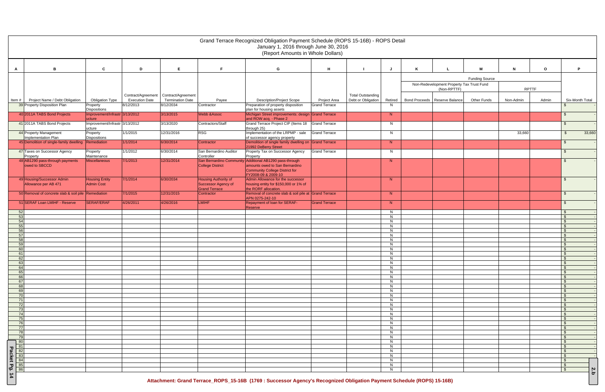|                                                     |                                                       |                       |                                                                    |                                             | Grand Terrace Recognized Obligation Payment Schedule (ROPS 15-16B) - ROPS Detail<br>January 1, 2016 through June 30, 2016<br>(Report Amounts in Whole Dollars) |                      |                                                |         |                                           |                       |              |              |                              |
|-----------------------------------------------------|-------------------------------------------------------|-----------------------|--------------------------------------------------------------------|---------------------------------------------|----------------------------------------------------------------------------------------------------------------------------------------------------------------|----------------------|------------------------------------------------|---------|-------------------------------------------|-----------------------|--------------|--------------|------------------------------|
| в                                                   | $\mathbf c$                                           | D                     | E                                                                  | F                                           | G                                                                                                                                                              | н                    |                                                |         |                                           | м                     | N            | $\mathbf{o}$ | P                            |
| A                                                   |                                                       |                       |                                                                    |                                             |                                                                                                                                                                |                      |                                                |         |                                           |                       |              |              |                              |
|                                                     |                                                       |                       |                                                                    |                                             |                                                                                                                                                                |                      |                                                |         | Non-Redevelopment Property Tax Trust Fund | <b>Funding Source</b> |              |              |                              |
|                                                     |                                                       |                       |                                                                    |                                             |                                                                                                                                                                |                      |                                                |         | (Non-RPTTF)                               |                       | <b>RPTTF</b> |              |                              |
| Project Name / Debt Obligation<br>Item #            | <b>Obligation Type</b>                                | <b>Execution Date</b> | Contract/Agreement   Contract/Agreement<br><b>Termination Date</b> | Payee                                       | <b>Description/Project Scope</b>                                                                                                                               | <b>Project Area</b>  | <b>Total Outstanding</b><br>Debt or Obligation | Retired | Bond Proceeds   Reserve Balance           | <b>Other Funds</b>    | Non-Admin    | Admin        | Six-Month Total              |
| 39 Property Disposition Plan                        | Property                                              | 8/12/2013             | 8/12/2034                                                          | Contractor                                  | Preparation of property disposition                                                                                                                            | <b>Grand Terrace</b> |                                                | N.      |                                           |                       |              |              | -S                           |
| 40 2011A TABS Bond Projects                         | <b>Dispositions</b><br>Improvement/Infrastr 3/13/2012 |                       | 3/13/2015                                                          | <b>Webb &amp; Assoc</b>                     | plan for housing assets<br>Michigan Street improvements: design Grand Terrace                                                                                  |                      |                                                | N       |                                           |                       |              |              | - \$                         |
| 41 2011A TABS Bond Projects                         | ucture<br>Improvement/Infrastr 3/13/2012              |                       | 3/13/2020                                                          | Contractors/Staff                           | and ROW acq. - Phase 2<br>Grand Terrace Project CIP (Items 18 Grand Terrace                                                                                    |                      |                                                | N.      |                                           |                       |              |              | - \$                         |
| 44 Property Management                              | ucture<br>Property                                    | 1/1/2015              | 12/31/2016                                                         | <b>RSG</b>                                  | through 25)<br>Implementation of the LRPMP - sale                                                                                                              | <b>Grand Terrace</b> |                                                | N       |                                           |                       | 33,660       |              | $\mathbb{S}$<br>33,660       |
| Implementation Plan                                 | <b>Dispositions</b>                                   |                       |                                                                    |                                             | of successor agency property                                                                                                                                   |                      |                                                |         |                                           |                       |              |              |                              |
| 45 Demolition of single-family dwelling Remediation |                                                       | 1/1/2014              | 6/30/2014                                                          | Contractor                                  | Demolition of single family dwelling on Grand Terrace<br>21992 DeBerry Street                                                                                  |                      |                                                | N       |                                           |                       |              |              | - \$                         |
| 47 Taxes on Successor Agency<br>Property            | Property<br>Maintenance                               | 1/1/2012              | 6/30/2014                                                          | San Bernardino Auditor<br>Controller        | Property Tax on Successor Agency<br>Property                                                                                                                   | <b>Grand Terrace</b> |                                                | N.      |                                           |                       |              |              | - \$                         |
| 48 AB1290 pass-through payments                     | Miscellaneous                                         | 7/1/2013              | 12/31/2014                                                         |                                             | San Bernardino Community Additional AB1290 pass-through                                                                                                        |                      |                                                | N       |                                           |                       |              |              | -\$                          |
| owed to SBCCD                                       |                                                       |                       |                                                                    | <b>College District</b>                     | amounts owed to San Bernardino<br>Community College District for                                                                                               |                      |                                                |         |                                           |                       |              |              |                              |
| 49 Housing/Successor Admin                          | <b>Housing Entity</b>                                 | 7/1/2014              | 6/30/2034                                                          | <b>Housing Authority of</b>                 | FY2008-09 & 2009-10<br>Admin Allowance for the successor                                                                                                       |                      |                                                | N       |                                           |                       |              |              | -\$                          |
| Allowance per AB 471                                | <b>Admin Cost</b>                                     |                       |                                                                    | Successor Agency of<br><b>Grand Terrace</b> | housing entity for \$150,000 or 1% of<br>the RORF allocation.                                                                                                  |                      |                                                |         |                                           |                       |              |              |                              |
| 50 Removal of concrete slab & soil pile Remediation |                                                       | 7/1/2015              | 12/31/2015                                                         | Contractor                                  | Removal of concrete slab & soil pile at Grand Terrace                                                                                                          |                      |                                                | N       |                                           |                       |              |              | -\$                          |
| 51 SERAF Loan LMIHF - Reserve                       | SERAF/ERAF                                            | 4/26/2011             | 4/26/2016                                                          | <b>LMIHF</b>                                | APN 0275-242-10<br>Repayment of loan for SERAF-                                                                                                                | <b>Grand Terrace</b> |                                                | N       |                                           |                       |              |              | <b>S</b>                     |
| 52                                                  |                                                       |                       |                                                                    |                                             | Reserve                                                                                                                                                        |                      |                                                | N       |                                           |                       |              |              | - \$                         |
| 53                                                  |                                                       |                       |                                                                    |                                             |                                                                                                                                                                |                      |                                                | N       |                                           |                       |              |              | $\mathbb{S}$                 |
| 54<br>55                                            |                                                       |                       |                                                                    |                                             |                                                                                                                                                                |                      |                                                | N<br>N  |                                           |                       |              |              | $\mathbb{S}$<br>\$           |
| 56                                                  |                                                       |                       |                                                                    |                                             |                                                                                                                                                                |                      |                                                | N       |                                           |                       |              |              | $\mathbb{S}$                 |
| 57<br>58                                            |                                                       |                       |                                                                    |                                             |                                                                                                                                                                |                      |                                                | N<br>N  |                                           |                       |              |              | $\sqrt{3}$<br>$\mathcal{S}$  |
| 59                                                  |                                                       |                       |                                                                    |                                             |                                                                                                                                                                |                      |                                                | N       |                                           |                       |              |              | $\mathbb{S}$                 |
| 60                                                  |                                                       |                       |                                                                    |                                             |                                                                                                                                                                |                      |                                                | N       |                                           |                       |              |              | - \$                         |
| 61<br>62                                            |                                                       |                       |                                                                    |                                             |                                                                                                                                                                |                      |                                                | N<br>N  |                                           |                       |              |              | \$<br>- \$                   |
| 63                                                  |                                                       |                       |                                                                    |                                             |                                                                                                                                                                |                      |                                                | N       |                                           |                       |              |              | - \$                         |
| 64                                                  |                                                       |                       |                                                                    |                                             |                                                                                                                                                                |                      |                                                | N       |                                           |                       |              |              | -\$                          |
| 65<br>66                                            |                                                       |                       |                                                                    |                                             |                                                                                                                                                                |                      |                                                | N<br>N  |                                           |                       |              |              | $\mathfrak{s}$<br>$\sqrt{3}$ |
| 67                                                  |                                                       |                       |                                                                    |                                             |                                                                                                                                                                |                      |                                                | N       |                                           |                       |              |              | <b>S</b>                     |
| 68                                                  |                                                       |                       |                                                                    |                                             |                                                                                                                                                                |                      |                                                | N       |                                           |                       |              |              | $\mathbb{S}$                 |
| 69                                                  |                                                       |                       |                                                                    |                                             |                                                                                                                                                                |                      |                                                | N       |                                           |                       |              |              | - \$                         |
| 70<br>71                                            |                                                       |                       |                                                                    |                                             |                                                                                                                                                                |                      |                                                | N<br>N  |                                           |                       |              |              | $\mathbb{S}$<br>$\mathbb{S}$ |
| 72                                                  |                                                       |                       |                                                                    |                                             |                                                                                                                                                                |                      |                                                | N       |                                           |                       |              |              | <b>S</b>                     |
| 73                                                  |                                                       |                       |                                                                    |                                             |                                                                                                                                                                |                      |                                                | N       |                                           |                       |              |              | $\sqrt{3}$                   |
| 74<br>75                                            |                                                       |                       |                                                                    |                                             |                                                                                                                                                                |                      |                                                | N<br>N  |                                           |                       |              |              | $\sqrt{3}$<br>$\sqrt{3}$     |
| 76                                                  |                                                       |                       |                                                                    |                                             |                                                                                                                                                                |                      |                                                | N       |                                           |                       |              |              | $\mathbb{S}$                 |
| 77                                                  |                                                       |                       |                                                                    |                                             |                                                                                                                                                                |                      |                                                | N       |                                           |                       |              |              | $\sqrt{3}$                   |
| 78<br>79                                            |                                                       |                       |                                                                    |                                             |                                                                                                                                                                |                      |                                                | N<br>N  |                                           |                       |              |              | - \$<br>$\mathbb{S}$         |
| $\sqrt{80}$                                         |                                                       |                       |                                                                    |                                             |                                                                                                                                                                |                      |                                                | N       |                                           |                       |              |              | - \$                         |
|                                                     |                                                       |                       |                                                                    |                                             |                                                                                                                                                                |                      |                                                | N       |                                           |                       |              |              | <b>S</b>                     |
|                                                     |                                                       |                       |                                                                    |                                             |                                                                                                                                                                |                      |                                                | N       |                                           |                       |              |              | -\$                          |
|                                                     |                                                       |                       |                                                                    |                                             |                                                                                                                                                                |                      |                                                | N<br>N  |                                           |                       |              |              | $\sqrt{3}$<br>$\sqrt{3}$     |
|                                                     |                                                       |                       |                                                                    |                                             |                                                                                                                                                                |                      |                                                | N       |                                           |                       |              |              | $\sqrt{3}$                   |
|                                                     |                                                       |                       |                                                                    |                                             |                                                                                                                                                                |                      |                                                | N       |                                           |                       |              |              | $\sqrt{3}$<br>2.b            |
| <u> ಶ್ರಹಣ್ಣ ಪೃಜ್ಯ ಜ</u><br>Packet Pg. 14            |                                                       |                       |                                                                    |                                             | Attachment: Grand Terrace_ROPS_15-16B (1769: Successor Agency's Recognized Obligation Payment Schedule (ROPS) 15-16B)                                          |                      |                                                |         |                                           |                       |              |              |                              |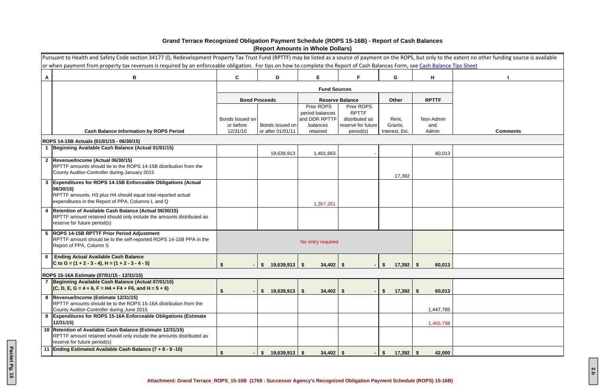|                 | Pursuant to Health and Safety Code section 34177 (I), Redevelopment Property Tax Trust Fund (RPTTF) may be listed as a source of payment on the ROPS, but only to the extent no other funding source is available<br>or when payment from property tax revenues is required by an enforceable obligation. For tips on how to complete the Report of Cash Balances Form, see Cash Balance Tips Sheet |                       |                                      |                               |                                 |                           |              |                 |
|-----------------|-----------------------------------------------------------------------------------------------------------------------------------------------------------------------------------------------------------------------------------------------------------------------------------------------------------------------------------------------------------------------------------------------------|-----------------------|--------------------------------------|-------------------------------|---------------------------------|---------------------------|--------------|-----------------|
| $\mathbf{A}$    | B                                                                                                                                                                                                                                                                                                                                                                                                   | $\mathbf{C}$          | D                                    | Е                             | F.                              | G                         | H            |                 |
|                 |                                                                                                                                                                                                                                                                                                                                                                                                     |                       |                                      | <b>Fund Sources</b>           |                                 |                           |              |                 |
|                 |                                                                                                                                                                                                                                                                                                                                                                                                     |                       | <b>Bond Proceeds</b>                 |                               | <b>Reserve Balance</b>          | Other                     | <b>RPTTF</b> |                 |
|                 |                                                                                                                                                                                                                                                                                                                                                                                                     |                       |                                      | Prior ROPS<br>period balances | Prior ROPS<br><b>RPTTF</b>      |                           |              |                 |
|                 |                                                                                                                                                                                                                                                                                                                                                                                                     | Bonds Issued on       |                                      | and DDR RPTTF                 | distributed as                  | Rent,                     | Non-Admin    |                 |
|                 | <b>Cash Balance Information by ROPS Period</b>                                                                                                                                                                                                                                                                                                                                                      | or before<br>12/31/10 | Bonds Issued on<br>or after 01/01/11 | balances<br>retained          | reserve for future<br>period(s) | Grants,<br>Interest, Etc. | and<br>Admin | <b>Comments</b> |
|                 | ROPS 14-15B Actuals (01/01/15 - 06/30/15)                                                                                                                                                                                                                                                                                                                                                           |                       |                                      |                               |                                 |                           |              |                 |
|                 | Beginning Available Cash Balance (Actual 01/01/15)                                                                                                                                                                                                                                                                                                                                                  |                       |                                      |                               |                                 |                           |              |                 |
|                 | 2 Revenue/Income (Actual 06/30/15)                                                                                                                                                                                                                                                                                                                                                                  |                       | 19,639,913                           | 1,401,663                     |                                 |                           | 60,013       |                 |
|                 | RPTTF amounts should tie to the ROPS 14-15B distribution from the                                                                                                                                                                                                                                                                                                                                   |                       |                                      |                               |                                 |                           |              |                 |
|                 | County Auditor-Controller during January 2015                                                                                                                                                                                                                                                                                                                                                       |                       |                                      |                               |                                 | 17,392                    |              |                 |
|                 | <b>Expenditures for ROPS 14-15B Enforceable Obligations (Actual</b><br>06/30/15)                                                                                                                                                                                                                                                                                                                    |                       |                                      |                               |                                 |                           |              |                 |
|                 | RPTTF amounts, H3 plus H4 should equal total reported actual<br>expenditures in the Report of PPA, Columns L and Q                                                                                                                                                                                                                                                                                  |                       |                                      | 1,367,261                     |                                 |                           |              |                 |
| 4               | Retention of Available Cash Balance (Actual 06/30/15)<br>RPTTF amount retained should only include the amounts distributed as<br>reserve for future period(s)                                                                                                                                                                                                                                       |                       |                                      |                               |                                 |                           |              |                 |
| $5\phantom{.0}$ | <b>ROPS 14-15B RPTTF Prior Period Adjustment</b><br>RPTTF amount should tie to the self-reported ROPS 14-15B PPA in the<br>Report of PPA, Column S                                                                                                                                                                                                                                                  |                       |                                      | No entry required             |                                 |                           |              |                 |
| 6               | <b>Ending Actual Available Cash Balance</b>                                                                                                                                                                                                                                                                                                                                                         |                       |                                      |                               |                                 |                           |              |                 |
|                 | C to G = $(1 + 2 - 3 - 4)$ , H = $(1 + 2 - 3 - 4 - 5)$                                                                                                                                                                                                                                                                                                                                              |                       | $19,639,913$ \$<br><b>S</b>          | $34,402$   \$                 |                                 | 17,392<br>S.              | 60,013       |                 |
|                 | ROPS 15-16A Estimate (07/01/15 - 12/31/15)                                                                                                                                                                                                                                                                                                                                                          |                       |                                      |                               |                                 |                           |              |                 |
|                 | 7 Beginning Available Cash Balance (Actual 07/01/15)<br>$(C, D, E, G = 4 + 6, F = H4 + F4 + F6, and H = 5 + 6)$                                                                                                                                                                                                                                                                                     |                       |                                      |                               |                                 |                           |              |                 |
|                 | 8  Revenue/Income (Estimate 12/31/15)                                                                                                                                                                                                                                                                                                                                                               |                       | $19,639,913$ \$<br>S.                | $34,402$ \ \$                 |                                 | $17,392$ \$<br>\$         | 60,013       |                 |
|                 | RPTTF amounts should tie to the ROPS 15-16A distribution from the                                                                                                                                                                                                                                                                                                                                   |                       |                                      |                               |                                 |                           |              |                 |
| 9               | County Auditor-Controller during June 2015<br><b>Expenditures for ROPS 15-16A Enforceable Obligations (Estimate)</b>                                                                                                                                                                                                                                                                                |                       |                                      |                               |                                 |                           | 1,447,785    |                 |
|                 | 12/31/15                                                                                                                                                                                                                                                                                                                                                                                            |                       |                                      |                               |                                 |                           | 1,465,798    |                 |
|                 | 10 Retention of Available Cash Balance (Estimate 12/31/15)<br>RPTTF amount retained should only include the amounts distributed as<br>reserve for future period(s)                                                                                                                                                                                                                                  |                       |                                      |                               |                                 |                           |              |                 |
| 11              | Ending Estimated Available Cash Balance $(7 + 8 - 9 - 10)$                                                                                                                                                                                                                                                                                                                                          |                       | $19,639,913$ \$<br>\$                | $34,402$ \$                   |                                 | $17,392$ \$<br>S.         | 42,000       |                 |

## **Grand Terrace Recognized Obligation Payment Schedule (ROPS 15-16B) - Report of Cash Balances (Report Amounts in Whole Dollars)**